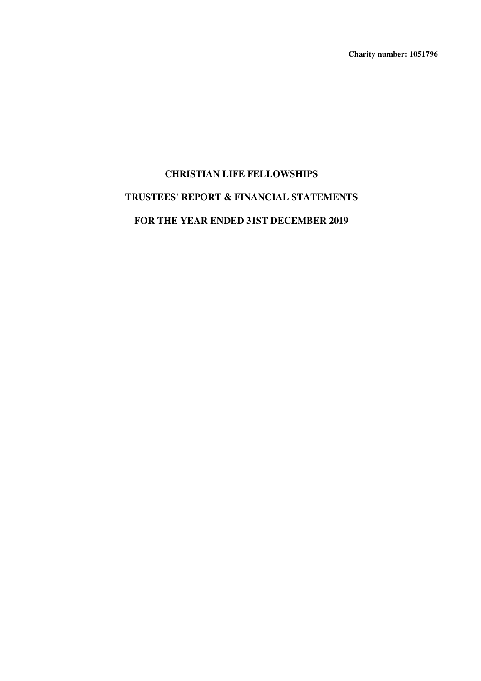**Charity number: 1051796**

# **CHRISTIAN LIFE FELLOWSHIPS TRUSTEES' REPORT & FINANCIAL STATEMENTS FOR THE YEAR ENDED 31ST DECEMBER 2019**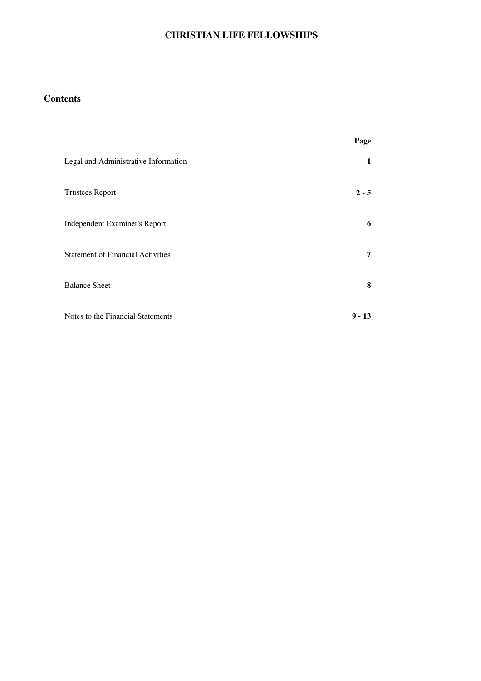# **Contents**

|                                          | Page     |
|------------------------------------------|----------|
| Legal and Administrative Information     | 1        |
| <b>Trustees Report</b>                   | $2 - 5$  |
| Independent Examiner's Report            | 6        |
| <b>Statement of Financial Activities</b> | 7        |
| <b>Balance Sheet</b>                     | 8        |
| Notes to the Financial Statements        | $9 - 13$ |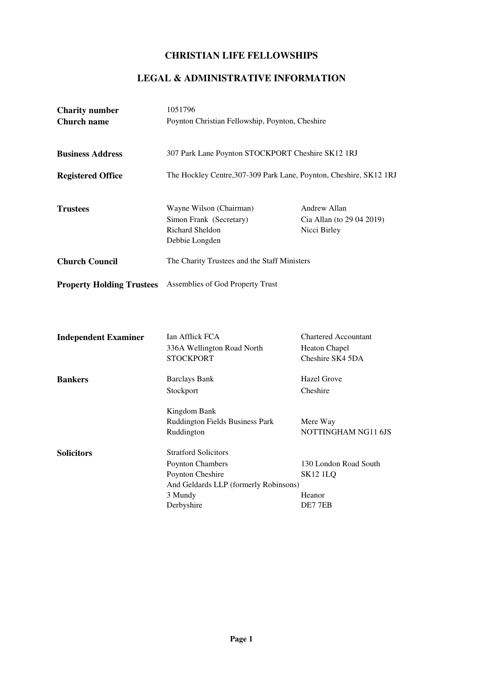# **LEGAL & ADMINISTRATIVE INFORMATION**

| <b>Charity number</b><br><b>Church name</b> | 1051796<br>Poynton Christian Fellowship, Poynton, Cheshire                                                                            |                                                                         |  |  |  |
|---------------------------------------------|---------------------------------------------------------------------------------------------------------------------------------------|-------------------------------------------------------------------------|--|--|--|
| <b>Business Address</b>                     | 307 Park Lane Poynton STOCKPORT Cheshire SK12 1RJ                                                                                     |                                                                         |  |  |  |
| <b>Registered Office</b>                    | The Hockley Centre, 307-309 Park Lane, Poynton, Cheshire, SK12 1RJ                                                                    |                                                                         |  |  |  |
| <b>Trustees</b>                             | Wayne Wilson (Chairman)<br>Simon Frank (Secretary)<br>Richard Sheldon<br>Debbie Longden                                               | Andrew Allan<br>Cia Allan (to 29 04 2019)<br>Nicci Birley               |  |  |  |
| <b>Church Council</b>                       | The Charity Trustees and the Staff Ministers                                                                                          |                                                                         |  |  |  |
| <b>Property Holding Trustees</b>            | Assemblies of God Property Trust                                                                                                      |                                                                         |  |  |  |
| <b>Independent Examiner</b>                 | Ian Afflick FCA<br>336A Wellington Road North<br><b>STOCKPORT</b>                                                                     | <b>Chartered Accountant</b><br><b>Heaton Chapel</b><br>Cheshire SK4 5DA |  |  |  |
| <b>Bankers</b>                              | <b>Barclays Bank</b><br>Stockport                                                                                                     | <b>Hazel Grove</b><br>Cheshire                                          |  |  |  |
|                                             | Kingdom Bank<br>Ruddington Fields Business Park<br>Ruddington                                                                         | Mere Way<br>NOTTINGHAM NG11 6JS                                         |  |  |  |
| <b>Solicitors</b>                           | <b>Stratford Solicitors</b><br>Poynton Chambers<br>Poynton Cheshire<br>And Geldards LLP (formerly Robinsons)<br>3 Mundy<br>Derbyshire | 130 London Road South<br><b>SK12 1LQ</b><br>Heanor<br>DE77EB            |  |  |  |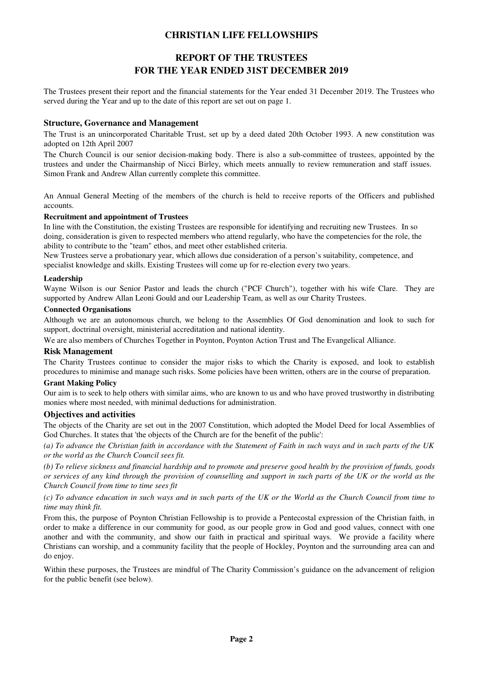# **REPORT OF THE TRUSTEES FOR THE YEAR ENDED 31ST DECEMBER 2019**

The Trustees present their report and the financial statements for the Year ended 31 December 2019. The Trustees who served during the Year and up to the date of this report are set out on page 1.

#### **Structure, Governance and Management**

The Trust is an unincorporated Charitable Trust, set up by a deed dated 20th October 1993. A new constitution was adopted on 12th April 2007

The Church Council is our senior decision-making body. There is also a sub-committee of trustees, appointed by the trustees and under the Chairmanship of Nicci Birley, which meets annually to review remuneration and staff issues. Simon Frank and Andrew Allan currently complete this committee.

An Annual General Meeting of the members of the church is held to receive reports of the Officers and published accounts.

#### **Recruitment and appointment of Trustees**

In line with the Constitution, the existing Trustees are responsible for identifying and recruiting new Trustees. In so doing, consideration is given to respected members who attend regularly, who have the competencies for the role, the ability to contribute to the "team" ethos, and meet other established criteria.

New Trustees serve a probationary year, which allows due consideration of a person's suitability, competence, and specialist knowledge and skills. Existing Trustees will come up for re-election every two years.

#### **Leadership**

Wayne Wilson is our Senior Pastor and leads the church ("PCF Church"), together with his wife Clare. They are supported by Andrew Allan Leoni Gould and our Leadership Team, as well as our Charity Trustees.

#### **Connected Organisations**

Although we are an autonomous church, we belong to the Assemblies Of God denomination and look to such for support, doctrinal oversight, ministerial accreditation and national identity.

We are also members of Churches Together in Poynton, Poynton Action Trust and The Evangelical Alliance.

#### **Risk Management**

The Charity Trustees continue to consider the major risks to which the Charity is exposed, and look to establish procedures to minimise and manage such risks. Some policies have been written, others are in the course of preparation.

#### **Grant Making Policy**

Our aim is to seek to help others with similar aims, who are known to us and who have proved trustworthy in distributing monies where most needed, with minimal deductions for administration.

#### **Objectives and activities**

The objects of the Charity are set out in the 2007 Constitution, which adopted the Model Deed for local Assemblies of God Churches. It states that 'the objects of the Church are for the benefit of the public':

*(a) To advance the Christian faith in accordance with the Statement of Faith in such ways and in such parts of the UK or the world as the Church Council sees fit.*

*(b) To relieve sickness and financial hardship and to promote and preserve good health by the provision of funds, goods or services of any kind through the provision of counselling and support in such parts of the UK or the world as the Church Council from time to time sees fit*

#### *(c) To advance education in such ways and in such parts of the UK or the World as the Church Council from time to time may think fit.*

From this, the purpose of Poynton Christian Fellowship is to provide a Pentecostal expression of the Christian faith, in order to make a difference in our community for good, as our people grow in God and good values, connect with one another and with the community, and show our faith in practical and spiritual ways. We provide a facility where Christians can worship, and a community facility that the people of Hockley, Poynton and the surrounding area can and do enjoy.

Within these purposes, the Trustees are mindful of The Charity Commission's guidance on the advancement of religion for the public benefit (see below).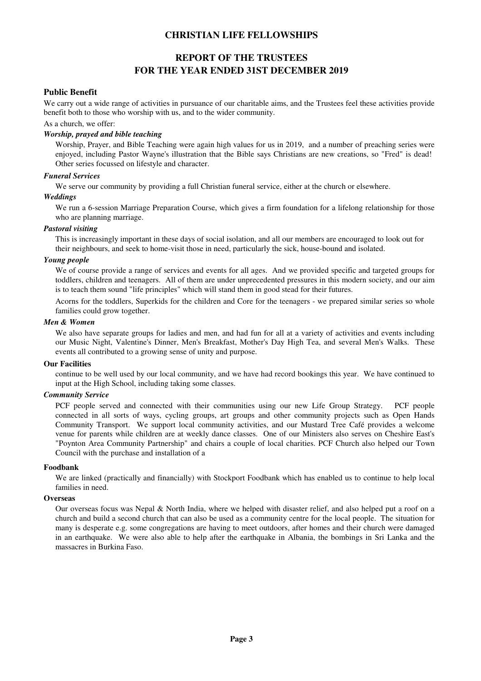# **REPORT OF THE TRUSTEES FOR THE YEAR ENDED 31ST DECEMBER 2019**

#### **Public Benefit**

We carry out a wide range of activities in pursuance of our charitable aims, and the Trustees feel these activities provide benefit both to those who worship with us, and to the wider community.

#### As a church, we offer:

#### *Worship, prayed and bible teaching*

Worship, Prayer, and Bible Teaching were again high values for us in 2019, and a number of preaching series were enjoyed, including Pastor Wayne's illustration that the Bible says Christians are new creations, so "Fred" is dead! Other series focussed on lifestyle and character.

#### *Funeral Services*

We serve our community by providing a full Christian funeral service, either at the church or elsewhere.

#### *Weddings*

We run a 6-session Marriage Preparation Course, which gives a firm foundation for a lifelong relationship for those who are planning marriage.

#### *Pastoral visiting*

This is increasingly important in these days of social isolation, and all our members are encouraged to look out for their neighbours, and seek to home-visit those in need, particularly the sick, house-bound and isolated.

#### *Young people*

We of course provide a range of services and events for all ages. And we provided specific and targeted groups for toddlers, children and teenagers. All of them are under unprecedented pressures in this modern society, and our aim is to teach them sound "life principles" which will stand them in good stead for their futures.

Acorns for the toddlers, Superkids for the children and Core for the teenagers - we prepared similar series so whole families could grow together.

#### *Men & Women*

We also have separate groups for ladies and men, and had fun for all at a variety of activities and events including our Music Night, Valentine's Dinner, Men's Breakfast, Mother's Day High Tea, and several Men's Walks. These events all contributed to a growing sense of unity and purpose.

#### **Our Facilities**

continue to be well used by our local community, and we have had record bookings this year. We have continued to input at the High School, including taking some classes.

#### *Community Service*

PCF people served and connected with their communities using our new Life Group Strategy. PCF people connected in all sorts of ways, cycling groups, art groups and other community projects such as Open Hands Community Transport. We support local community activities, and our Mustard Tree Café provides a welcome venue for parents while children are at weekly dance classes. One of our Ministers also serves on Cheshire East's "Poynton Area Community Partnership" and chairs a couple of local charities. PCF Church also helped our Town Council with the purchase and installation of a

#### **Foodbank**

We are linked (practically and financially) with Stockport Foodbank which has enabled us to continue to help local families in need.

#### **Overseas**

Our overseas focus was Nepal & North India, where we helped with disaster relief, and also helped put a roof on a church and build a second church that can also be used as a community centre for the local people. The situation for many is desperate e.g. some congregations are having to meet outdoors, after homes and their church were damaged in an earthquake. We were also able to help after the earthquake in Albania, the bombings in Sri Lanka and the massacres in Burkina Faso.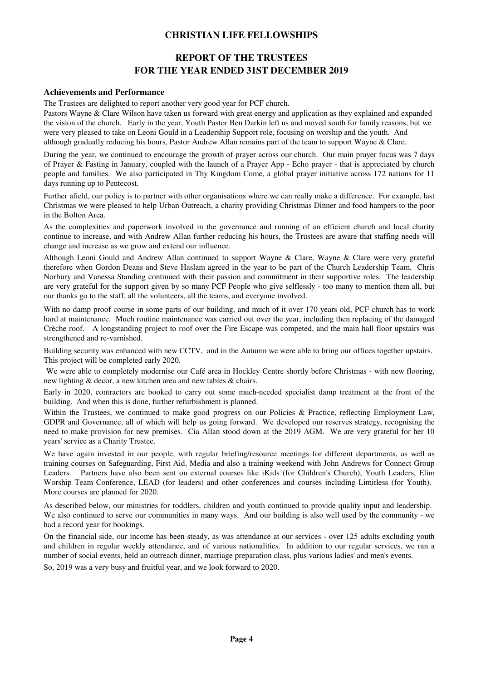# **REPORT OF THE TRUSTEES FOR THE YEAR ENDED 31ST DECEMBER 2019**

#### **Achievements and Performance**

The Trustees are delighted to report another very good year for PCF church.

Pastors Wayne & Clare Wilson have taken us forward with great energy and application as they explained and expanded the vision of the church. Early in the year, Youth Pastor Ben Darkin left us and moved south for family reasons, but we were very pleased to take on Leoni Gould in a Leadership Support role, focusing on worship and the youth. And although gradually reducing his hours, Pastor Andrew Allan remains part of the team to support Wayne & Clare.

During the year, we continued to encourage the growth of prayer across our church. Our main prayer focus was 7 days of Prayer & Fasting in January, coupled with the launch of a Prayer App - Echo prayer - that is appreciated by church people and families. We also participated in Thy Kingdom Come, a global prayer initiative across 172 nations for 11 days running up to Pentecost.

Further afield, our policy is to partner with other organisations where we can really make a difference. For example, last Christmas we were pleased to help Urban Outreach, a charity providing Christmas Dinner and food hampers to the poor in the Bolton Area.

As the complexities and paperwork involved in the governance and running of an efficient church and local charity continue to increase, and with Andrew Allan further reducing his hours, the Trustees are aware that staffing needs will change and increase as we grow and extend our influence.

Although Leoni Gould and Andrew Allan continued to support Wayne & Clare, Wayne & Clare were very grateful therefore when Gordon Deans and Steve Haslam agreed in the year to be part of the Church Leadership Team. Chris Norbury and Vanessa Standing continued with their passion and commitment in their supportive roles. The leadership are very grateful for the support given by so many PCF People who give selflessly - too many to mention them all, but our thanks go to the staff, all the volunteers, all the teams, and everyone involved.

With no damp proof course in some parts of our building, and much of it over 170 years old, PCF church has to work hard at maintenance. Much routine maintenance was carried out over the year, including then replacing of the damaged Crèche roof. A longstanding project to roof over the Fire Escape was competed, and the main hall floor upstairs was strengthened and re-varnished.

Building security was enhanced with new CCTV, and in the Autumn we were able to bring our offices together upstairs. This project will be completed early 2020.

 We were able to completely modernise our Café area in Hockley Centre shortly before Christmas - with new flooring, new lighting & decor, a new kitchen area and new tables & chairs.

Early in 2020, contractors are booked to carry out some much-needed specialist damp treatment at the front of the building. And when this is done, further refurbishment is planned.

Within the Trustees, we continued to make good progress on our Policies & Practice, reflecting Employment Law, GDPR and Governance, all of which will help us going forward. We developed our reserves strategy, recognising the need to make provision for new premises. Cia Allan stood down at the 2019 AGM. We are very grateful for her 10 years' service as a Charity Trustee.

We have again invested in our people, with regular briefing/resource meetings for different departments, as well as training courses on Safeguarding, First Aid, Media and also a training weekend with John Andrews for Connect Group Leaders. Partners have also been sent on external courses like iKids (for Children's Church), Youth Leaders, Elim Worship Team Conference, LEAD (for leaders) and other conferences and courses including Limitless (for Youth). More courses are planned for 2020.

As described below, our ministries for toddlers, children and youth continued to provide quality input and leadership. We also continued to serve our communities in many ways. And our building is also well used by the community - we had a record year for bookings.

On the financial side, our income has been steady, as was attendance at our services - over 125 adults excluding youth and children in regular weekly attendance, and of various nationalities. In addition to our regular services, we ran a number of social events, held an outreach dinner, marriage preparation class, plus various ladies' and men's events.

So, 2019 was a very busy and fruitful year, and we look forward to 2020.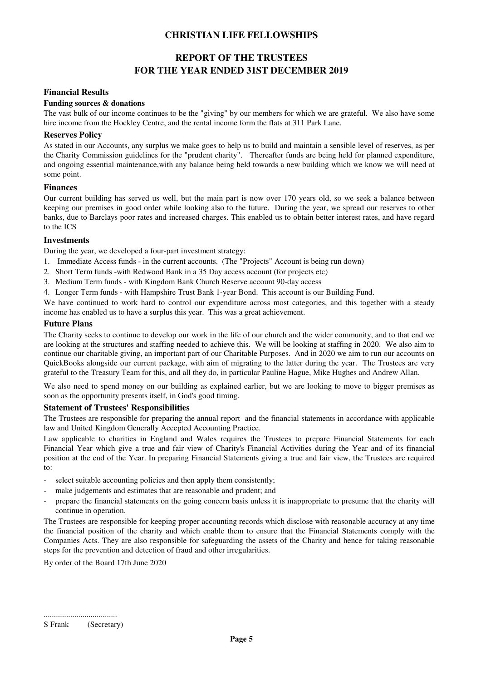# **REPORT OF THE TRUSTEES FOR THE YEAR ENDED 31ST DECEMBER 2019**

#### **Financial Results**

#### **Funding sources & donations**

The vast bulk of our income continues to be the "giving" by our members for which we are grateful. We also have some hire income from the Hockley Centre, and the rental income form the flats at 311 Park Lane.

#### **Reserves Policy**

As stated in our Accounts, any surplus we make goes to help us to build and maintain a sensible level of reserves, as per the Charity Commission guidelines for the "prudent charity". Thereafter funds are being held for planned expenditure, and ongoing essential maintenance,with any balance being held towards a new building which we know we will need at some point.

#### **Finances**

Our current building has served us well, but the main part is now over 170 years old, so we seek a balance between keeping our premises in good order while looking also to the future. During the year, we spread our reserves to other banks, due to Barclays poor rates and increased charges. This enabled us to obtain better interest rates, and have regard to the ICS

#### **Investments**

During the year, we developed a four-part investment strategy:

- 1. Immediate Access funds in the current accounts. (The "Projects" Account is being run down)
- 2. Short Term funds -with Redwood Bank in a 35 Day access account (for projects etc)
- 3. Medium Term funds with Kingdom Bank Church Reserve account 90-day access
- 4. Longer Term funds with Hampshire Trust Bank 1-year Bond. This account is our Building Fund.

We have continued to work hard to control our expenditure across most categories, and this together with a steady income has enabled us to have a surplus this year. This was a great achievement.

#### **Future Plans**

The Charity seeks to continue to develop our work in the life of our church and the wider community, and to that end we are looking at the structures and staffing needed to achieve this. We will be looking at staffing in 2020. We also aim to continue our charitable giving, an important part of our Charitable Purposes. And in 2020 we aim to run our accounts on QuickBooks alongside our current package, with aim of migrating to the latter during the year. The Trustees are very grateful to the Treasury Team for this, and all they do, in particular Pauline Hague, Mike Hughes and Andrew Allan.

We also need to spend money on our building as explained earlier, but we are looking to move to bigger premises as soon as the opportunity presents itself, in God's good timing.

#### **Statement of Trustees' Responsibilities**

The Trustees are responsible for preparing the annual report and the financial statements in accordance with applicable law and United Kingdom Generally Accepted Accounting Practice.

Law applicable to charities in England and Wales requires the Trustees to prepare Financial Statements for each Financial Year which give a true and fair view of Charity's Financial Activities during the Year and of its financial position at the end of the Year. In preparing Financial Statements giving a true and fair view, the Trustees are required to:

- select suitable accounting policies and then apply them consistently;
- make judgements and estimates that are reasonable and prudent; and
- prepare the financial statements on the going concern basis unless it is inappropriate to presume that the charity will continue in operation.

The Trustees are responsible for keeping proper accounting records which disclose with reasonable accuracy at any time the financial position of the charity and which enable them to ensure that the Financial Statements comply with the Companies Acts. They are also responsible for safeguarding the assets of the Charity and hence for taking reasonable steps for the prevention and detection of fraud and other irregularities.

By order of the Board 17th June 2020

<sup>....................................</sup> S Frank (Secretary)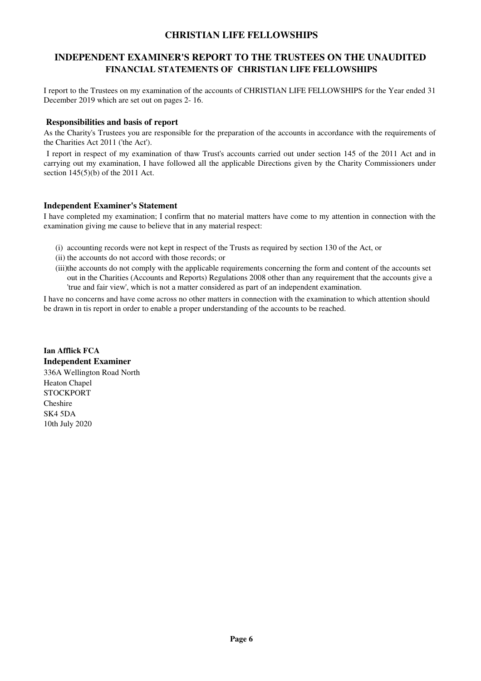### **INDEPENDENT EXAMINER'S REPORT TO THE TRUSTEES ON THE UNAUDITED FINANCIAL STATEMENTS OF CHRISTIAN LIFE FELLOWSHIPS**

I report to the Trustees on my examination of the accounts of CHRISTIAN LIFE FELLOWSHIPS for the Year ended 31 December 2019 which are set out on pages 2- 16.

#### **Responsibilities and basis of report**

As the Charity's Trustees you are responsible for the preparation of the accounts in accordance with the requirements of the Charities Act 2011 ('the Act').

 I report in respect of my examination of thaw Trust's accounts carried out under section 145 of the 2011 Act and in carrying out my examination, I have followed all the applicable Directions given by the Charity Commissioners under section 145(5)(b) of the 2011 Act.

#### **Independent Examiner's Statement**

I have completed my examination; I confirm that no material matters have come to my attention in connection with the examination giving me cause to believe that in any material respect:

- (i) accounting records were not kept in respect of the Trusts as required by section 130 of the Act, or
- (ii) the accounts do not accord with those records; or
- (iii)the accounts do not comply with the applicable requirements concerning the form and content of the accounts set out in the Charities (Accounts and Reports) Regulations 2008 other than any requirement that the accounts give a 'true and fair view', which is not a matter considered as part of an independent examination.

I have no concerns and have come across no other matters in connection with the examination to which attention should be drawn in tis report in order to enable a proper understanding of the accounts to be reached.

**Ian Afflick FCA Independent Examiner** 336A Wellington Road North Heaton Chapel **STOCKPORT** Cheshire SK4 5DA 10th July 2020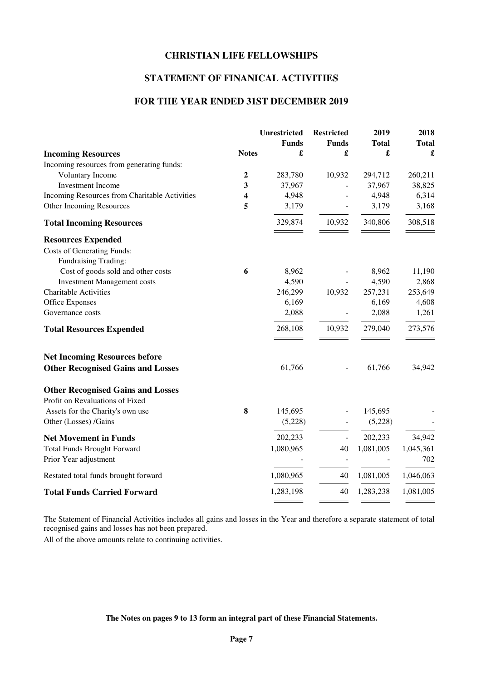# **STATEMENT OF FINANICAL ACTIVITIES**

### **FOR THE YEAR ENDED 31ST DECEMBER 2019**

|                                               |                | <b>Unrestricted</b> | <b>Restricted</b> | 2019         | 2018         |
|-----------------------------------------------|----------------|---------------------|-------------------|--------------|--------------|
|                                               |                | <b>Funds</b>        | <b>Funds</b>      | <b>Total</b> | <b>Total</b> |
| <b>Incoming Resources</b>                     | <b>Notes</b>   | £                   | £                 | £            | £            |
| Incoming resources from generating funds:     |                |                     |                   |              |              |
| Voluntary Income                              | $\overline{2}$ | 283,780             | 10,932            | 294,712      | 260,211      |
| <b>Investment Income</b>                      | 3              | 37,967              |                   | 37,967       | 38,825       |
| Incoming Resources from Charitable Activities | 4              | 4,948               |                   | 4,948        | 6,314        |
| Other Incoming Resources                      | 5              | 3,179               |                   | 3,179        | 3,168        |
| <b>Total Incoming Resources</b>               |                | 329,874             | 10,932            | 340,806      | 308,518      |
| <b>Resources Expended</b>                     |                |                     |                   |              |              |
| <b>Costs of Generating Funds:</b>             |                |                     |                   |              |              |
| Fundraising Trading:                          |                |                     |                   |              |              |
| Cost of goods sold and other costs            | 6              | 8,962               |                   | 8,962        | 11,190       |
| <b>Investment Management costs</b>            |                | 4,590               |                   | 4,590        | 2,868        |
| Charitable Activities                         |                | 246,299             | 10,932            | 257,231      | 253,649      |
| <b>Office Expenses</b>                        |                | 6,169               |                   | 6,169        | 4,608        |
| Governance costs                              |                | 2,088               |                   | 2,088        | 1,261        |
| <b>Total Resources Expended</b>               |                | 268,108             | 10,932            | 279,040      | 273,576      |
| <b>Net Incoming Resources before</b>          |                |                     |                   |              |              |
| <b>Other Recognised Gains and Losses</b>      |                | 61,766              |                   | 61,766       | 34,942       |
| <b>Other Recognised Gains and Losses</b>      |                |                     |                   |              |              |
| Profit on Revaluations of Fixed               |                |                     |                   |              |              |
| Assets for the Charity's own use              | 8              | 145,695             |                   | 145,695      |              |
| Other (Losses) /Gains                         |                | (5,228)             |                   | (5,228)      |              |
| <b>Net Movement in Funds</b>                  |                | 202,233             | $\overline{a}$    | 202,233      | 34,942       |
| <b>Total Funds Brought Forward</b>            |                | 1,080,965           | 40                | 1,081,005    | 1,045,361    |
| Prior Year adjustment                         |                |                     |                   |              | 702          |
| Restated total funds brought forward          |                | 1,080,965           | 40                | 1,081,005    | 1,046,063    |
| <b>Total Funds Carried Forward</b>            |                | 1,283,198           | 40                | 1,283,238    | 1,081,005    |
|                                               |                |                     |                   |              |              |

The Statement of Financial Activities includes all gains and losses in the Year and therefore a separate statement of total recognised gains and losses has not been prepared.

All of the above amounts relate to continuing activities.

#### **The Notes on pages 9 to 13 form an integral part of these Financial Statements.**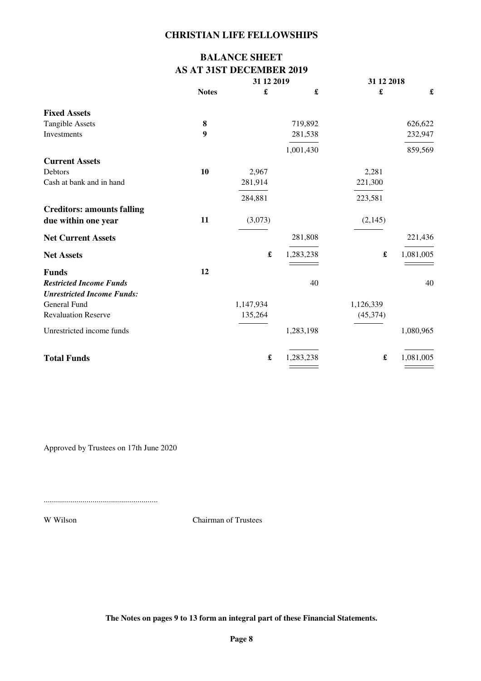# **BALANCE SHEET AS AT 31ST DECEMBER 2019**

|                                   |              | 31 12 2019           |                      | 31 12 2018           |           |
|-----------------------------------|--------------|----------------------|----------------------|----------------------|-----------|
|                                   | <b>Notes</b> | £                    | $\pmb{\mathfrak{L}}$ | $\pmb{\mathfrak{L}}$ | £         |
| <b>Fixed Assets</b>               |              |                      |                      |                      |           |
| <b>Tangible Assets</b>            | 8            |                      | 719,892              |                      | 626,622   |
| Investments                       | 9            |                      | 281,538              |                      | 232,947   |
|                                   |              |                      | 1,001,430            |                      | 859,569   |
| <b>Current Assets</b>             |              |                      |                      |                      |           |
| Debtors                           | 10           | 2,967                |                      | 2,281                |           |
| Cash at bank and in hand          |              | 281,914              |                      | 221,300              |           |
|                                   |              | 284,881              |                      | 223,581              |           |
| <b>Creditors: amounts falling</b> |              |                      |                      |                      |           |
| due within one year               | 11           | (3,073)              |                      | (2,145)              |           |
| <b>Net Current Assets</b>         |              |                      | 281,808              |                      | 221,436   |
| <b>Net Assets</b>                 |              | $\pmb{\mathfrak{L}}$ | 1,283,238            | £                    | 1,081,005 |
| <b>Funds</b>                      | 12           |                      |                      |                      |           |
| <b>Restricted Income Funds</b>    |              |                      | 40                   |                      | 40        |
| <b>Unrestricted Income Funds:</b> |              |                      |                      |                      |           |
| General Fund                      |              | 1,147,934            |                      | 1,126,339            |           |
| <b>Revaluation Reserve</b>        |              | 135,264              |                      | (45, 374)            |           |
| Unrestricted income funds         |              |                      | 1,283,198            |                      | 1,080,965 |
| <b>Total Funds</b>                |              | $\pmb{\mathfrak{L}}$ | 1,283,238            | £                    | 1,081,005 |
|                                   |              |                      |                      |                      |           |

Approved by Trustees on 17th June 2020

........................................................

W Wilson Chairman of Trustees

**The Notes on pages 9 to 13 form an integral part of these Financial Statements.**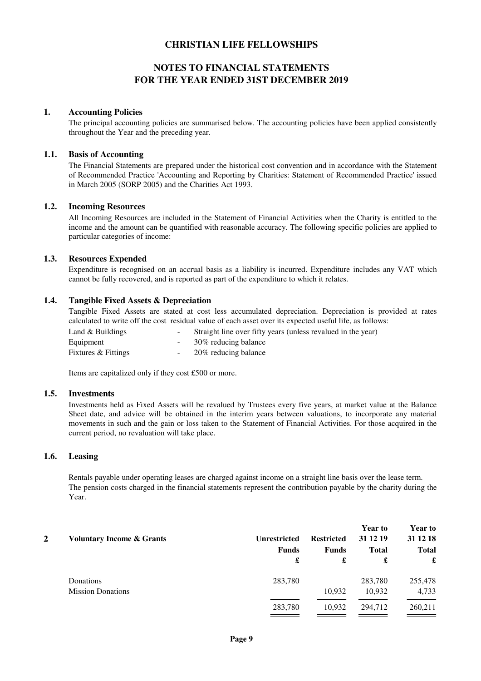# **NOTES TO FINANCIAL STATEMENTS FOR THE YEAR ENDED 31ST DECEMBER 2019**

#### **1. Accounting Policies**

The principal accounting policies are summarised below. The accounting policies have been applied consistently throughout the Year and the preceding year.

#### **1.1. Basis of Accounting**

The Financial Statements are prepared under the historical cost convention and in accordance with the Statement of Recommended Practice 'Accounting and Reporting by Charities: Statement of Recommended Practice' issued in March 2005 (SORP 2005) and the Charities Act 1993.

#### **1.2. Incoming Resources**

All Incoming Resources are included in the Statement of Financial Activities when the Charity is entitled to the income and the amount can be quantified with reasonable accuracy. The following specific policies are applied to particular categories of income:

#### **1.3. Resources Expended**

Expenditure is recognised on an accrual basis as a liability is incurred. Expenditure includes any VAT which cannot be fully recovered, and is reported as part of the expenditure to which it relates.

#### **1.4. Tangible Fixed Assets & Depreciation**

Tangible Fixed Assets are stated at cost less accumulated depreciation. Depreciation is provided at rates calculated to write off the cost residual value of each asset over its expected useful life, as follows:

| Land $&$ Buildings  | $\sim$ | Straight line over fifty years (unless revalued in the year) |
|---------------------|--------|--------------------------------------------------------------|
| Equipment           |        | - 30% reducing balance                                       |
| Fixtures & Fittings | $\sim$ | 20% reducing balance                                         |

Items are capitalized only if they cost £500 or more.

#### **1.5. Investments**

Investments held as Fixed Assets will be revalued by Trustees every five years, at market value at the Balance Sheet date, and advice will be obtained in the interim years between valuations, to incorporate any material movements in such and the gain or loss taken to the Statement of Financial Activities. For those acquired in the current period, no revaluation will take place.

#### **1.6. Leasing**

Rentals payable under operating leases are charged against income on a straight line basis over the lease term. The pension costs charged in the financial statements represent the contribution payable by the charity during the Year.

| 2 | <b>Voluntary Income &amp; Grants</b> | <b>Restricted</b> | <b>Year to</b><br>31 12 19 | <b>Year to</b><br>31 12 18 |              |
|---|--------------------------------------|-------------------|----------------------------|----------------------------|--------------|
|   |                                      | <b>Funds</b>      | <b>Funds</b>               | <b>Total</b>               | <b>Total</b> |
|   |                                      | £                 | £                          | £                          | £            |
|   | Donations                            | 283,780           |                            | 283,780                    | 255,478      |
|   | <b>Mission Donations</b>             |                   | 10,932                     | 10,932                     | 4,733        |
|   |                                      | 283,780           | 10,932                     | 294,712                    | 260,211      |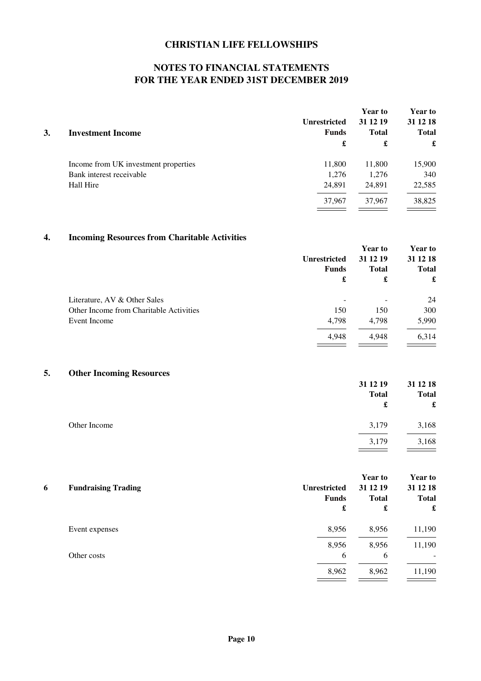# **NOTES TO FINANCIAL STATEMENTS FOR THE YEAR ENDED 31ST DECEMBER 2019**

|        | 31 12 19                            | <b>Year to</b><br>31 12 18<br><b>Total</b> |  |
|--------|-------------------------------------|--------------------------------------------|--|
| £      | £                                   | £                                          |  |
| 11,800 | 11,800                              | 15,900                                     |  |
| 1,276  | 1,276                               | 340                                        |  |
| 24,891 | 24.891                              | 22,585                                     |  |
| 37,967 | 37.967                              | 38,825<br>the control of the con-          |  |
|        | <b>Unrestricted</b><br><b>Funds</b> | <b>Total</b>                               |  |

# **4. Incoming Resources from Charitable Activities**

|                                         |                          | <b>Year to</b> | <b>Year to</b> |              |
|-----------------------------------------|--------------------------|----------------|----------------|--------------|
|                                         | <b>Unrestricted</b>      | 31 12 19       | 31 12 18       |              |
|                                         | <b>Funds</b>             |                | <b>Total</b>   | <b>Total</b> |
|                                         | £                        | £              | £              |              |
| Literature, AV & Other Sales            | $\overline{\phantom{a}}$ | -              | 24             |              |
| Other Income from Charitable Activities | 150                      | 150            | 300            |              |
| Event Income                            | 4,798                    | 4.798          | 5,990          |              |
|                                         | 4,948                    | 4,948          | 6,314          |              |
|                                         |                          |                |                |              |

# **5. Other Incoming Resources**

|              | 31 12 19<br><b>Total</b><br>£ | 31 12 18<br><b>Total</b><br>$\pmb{\mathfrak{L}}$ |
|--------------|-------------------------------|--------------------------------------------------|
| Other Income | 3,179                         | 3,168                                            |
|              | 3,179                         | 3,168                                            |

|   |                            |                     | <b>Year to</b> | <b>Year to</b> |
|---|----------------------------|---------------------|----------------|----------------|
| 6 | <b>Fundraising Trading</b> | <b>Unrestricted</b> | 31 12 19       | 31 12 18       |
|   |                            | <b>Funds</b>        | <b>Total</b>   | <b>Total</b>   |
|   |                            | £                   | £              | £              |
|   | Event expenses             | 8,956               | 8,956          | 11,190         |
|   |                            | 8,956               | 8,956          | 11,190         |
|   | Other costs                | 6                   | 6              | $\sim$         |
|   |                            | 8,962               | 8,962          | 11,190         |
|   |                            |                     |                |                |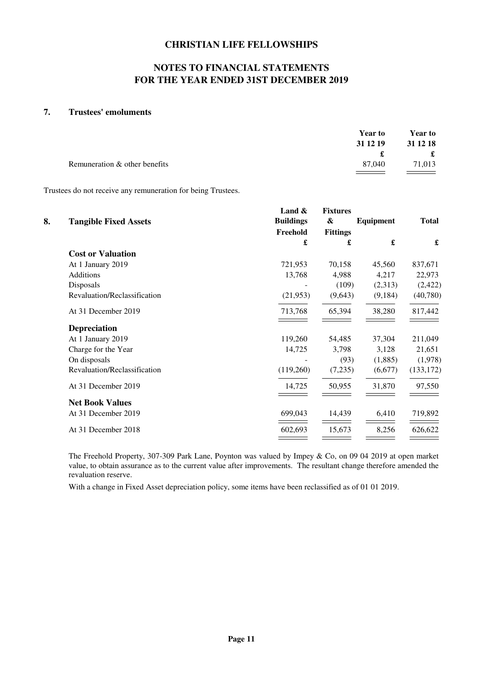# **NOTES TO FINANCIAL STATEMENTS FOR THE YEAR ENDED 31ST DECEMBER 2019**

### **7. Trustees' emoluments**

|                               | <b>Year to</b> | <b>Year to</b> |
|-------------------------------|----------------|----------------|
|                               | 31 12 19       | 31 12 18       |
|                               |                | $\mathbf f$    |
| Remuneration & other benefits | 87.040         | 71,013         |
|                               |                |                |

Trustees do not receive any remuneration for being Trustees.

| 8. | <b>Tangible Fixed Assets</b> | Land $\&$<br><b>Buildings</b> | <b>Fixtures</b><br>& | Equipment | <b>Total</b> |
|----|------------------------------|-------------------------------|----------------------|-----------|--------------|
|    |                              | Freehold                      | <b>Fittings</b>      |           |              |
|    |                              | £                             | £                    | £         | £            |
|    | <b>Cost or Valuation</b>     |                               |                      |           |              |
|    | At 1 January 2019            | 721,953                       | 70,158               | 45,560    | 837,671      |
|    | <b>Additions</b>             | 13,768                        | 4,988                | 4,217     | 22,973       |
|    | Disposals                    |                               | (109)                | (2,313)   | (2, 422)     |
|    | Revaluation/Reclassification | (21,953)                      | (9,643)              | (9,184)   | (40,780)     |
|    | At 31 December 2019          | 713,768                       | 65,394               | 38,280    | 817,442      |
|    | <b>Depreciation</b>          |                               |                      |           |              |
|    | At 1 January 2019            | 119,260                       | 54,485               | 37,304    | 211,049      |
|    | Charge for the Year          | 14,725                        | 3,798                | 3,128     | 21,651       |
|    | On disposals                 |                               | (93)                 | (1,885)   | (1,978)      |
|    | Revaluation/Reclassification | (119,260)                     | (7,235)              | (6,677)   | (133, 172)   |
|    | At 31 December 2019          | 14,725                        | 50,955               | 31,870    | 97,550       |
|    | <b>Net Book Values</b>       |                               |                      |           |              |
|    | At 31 December 2019          | 699,043                       | 14,439               | 6,410     | 719,892      |
|    | At 31 December 2018          | 602,693                       | 15,673               | 8,256     | 626,622      |
|    |                              |                               |                      |           |              |

The Freehold Property, 307-309 Park Lane, Poynton was valued by Impey & Co, on 09 04 2019 at open market value, to obtain assurance as to the current value after improvements. The resultant change therefore amended the revaluation reserve.

With a change in Fixed Asset depreciation policy, some items have been reclassified as of 01 01 2019.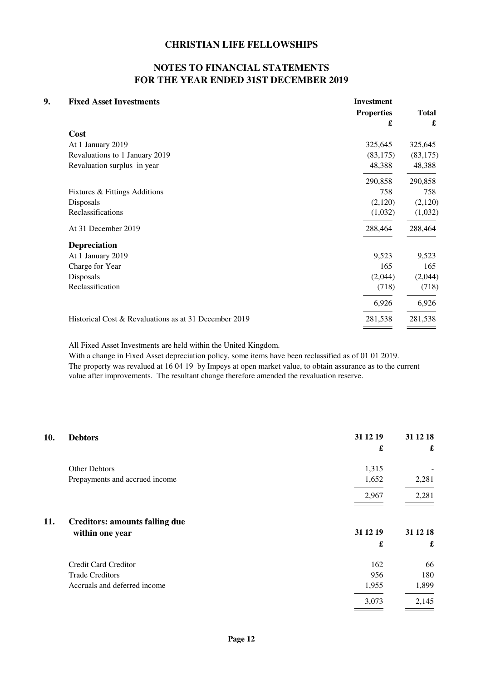# **NOTES TO FINANCIAL STATEMENTS FOR THE YEAR ENDED 31ST DECEMBER 2019**

| <b>Fixed Asset Investments</b>                        | <b>Investment</b> |              |
|-------------------------------------------------------|-------------------|--------------|
|                                                       | <b>Properties</b> | <b>Total</b> |
|                                                       | £                 | £            |
| Cost                                                  |                   |              |
| At 1 January 2019                                     | 325,645           | 325,645      |
| Revaluations to 1 January 2019                        | (83, 175)         | (83, 175)    |
| Revaluation surplus in year                           | 48,388            | 48,388       |
|                                                       | 290,858           | 290,858      |
| Fixtures & Fittings Additions                         | 758               | 758          |
| Disposals                                             | (2,120)           | (2,120)      |
| Reclassifications                                     | (1,032)           | (1,032)      |
| At 31 December 2019                                   | 288,464           | 288,464      |
| <b>Depreciation</b>                                   |                   |              |
| At 1 January 2019                                     | 9,523             | 9,523        |
| Charge for Year                                       | 165               | 165          |
| Disposals                                             | (2,044)           | (2,044)      |
| Reclassification                                      | (718)             | (718)        |
|                                                       | 6,926             | 6,926        |
| Historical Cost & Revaluations as at 31 December 2019 | 281,538           | 281,538      |
|                                                       |                   |              |

All Fixed Asset Investments are held within the United Kingdom.

With a change in Fixed Asset depreciation policy, some items have been reclassified as of 01 01 2019. The property was revalued at 16 04 19 by Impeys at open market value, to obtain assurance as to the current value after improvements. The resultant change therefore amended the revaluation reserve.

| 10. | <b>Debtors</b>                        | 31 12 19 | 31 12 18 |
|-----|---------------------------------------|----------|----------|
|     |                                       | £        | £        |
|     | Other Debtors                         | 1,315    |          |
|     | Prepayments and accrued income        | 1,652    | 2,281    |
|     |                                       | 2,967    | 2,281    |
| 11. | <b>Creditors: amounts falling due</b> |          |          |
|     | within one year                       | 31 12 19 | 31 12 18 |
|     |                                       | £        | £        |
|     | Credit Card Creditor                  | 162      | 66       |
|     | <b>Trade Creditors</b>                | 956      | 180      |
|     | Accruals and deferred income          | 1,955    | 1,899    |
|     |                                       | 3,073    | 2,145    |